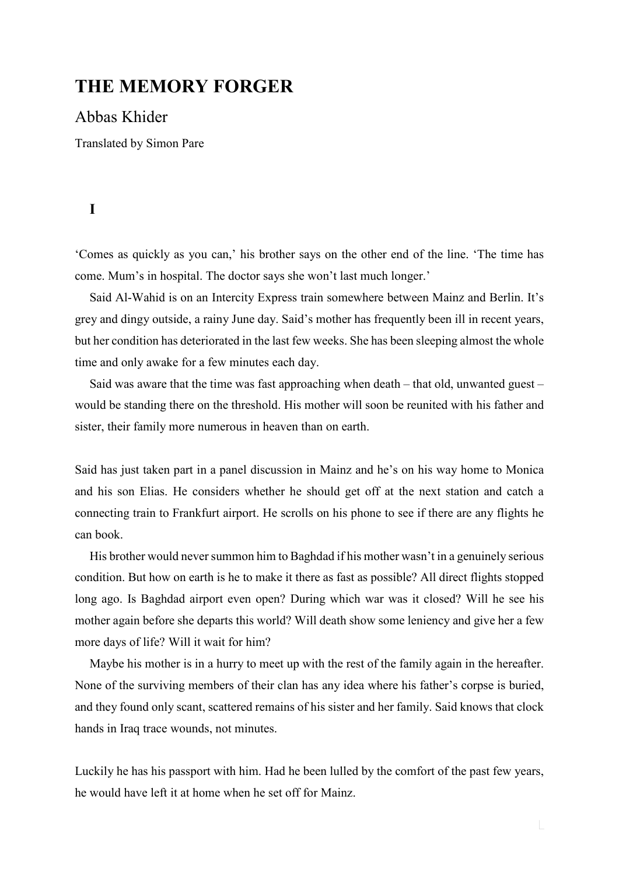# **THE MEMORY FORGER**

### Abbas Khider

Translated by Simon Pare

## **I**

'Comes as quickly as you can,' his brother says on the other end of the line. 'The time has come. Mum's in hospital. The doctor says she won't last much longer.'

Said Al-Wahid is on an Intercity Express train somewhere between Mainz and Berlin. It's grey and dingy outside, a rainy June day. Said's mother has frequently been ill in recent years, but her condition has deteriorated in the last few weeks. She has been sleeping almost the whole time and only awake for a few minutes each day.

Said was aware that the time was fast approaching when death  $-$  that old, unwanted guest  $$ would be standing there on the threshold. His mother will soon be reunited with his father and sister, their family more numerous in heaven than on earth.

Said has just taken part in a panel discussion in Mainz and he's on his way home to Monica and his son Elias. He considers whether he should get off at the next station and catch a connecting train to Frankfurt airport. He scrolls on his phone to see if there are any flights he can book.

His brother would never summon him to Baghdad if his mother wasn't in a genuinely serious condition. But how on earth is he to make it there as fast as possible? All direct flights stopped long ago. Is Baghdad airport even open? During which war was it closed? Will he see his mother again before she departs this world? Will death show some leniency and give her a few more days of life? Will it wait for him?

Maybe his mother is in a hurry to meet up with the rest of the family again in the hereafter. None of the surviving members of their clan has any idea where his father's corpse is buried, and they found only scant, scattered remains of his sister and her family. Said knows that clock hands in Iraq trace wounds, not minutes.

Luckily he has his passport with him. Had he been lulled by the comfort of the past few years, he would have left it at home when he set off for Mainz.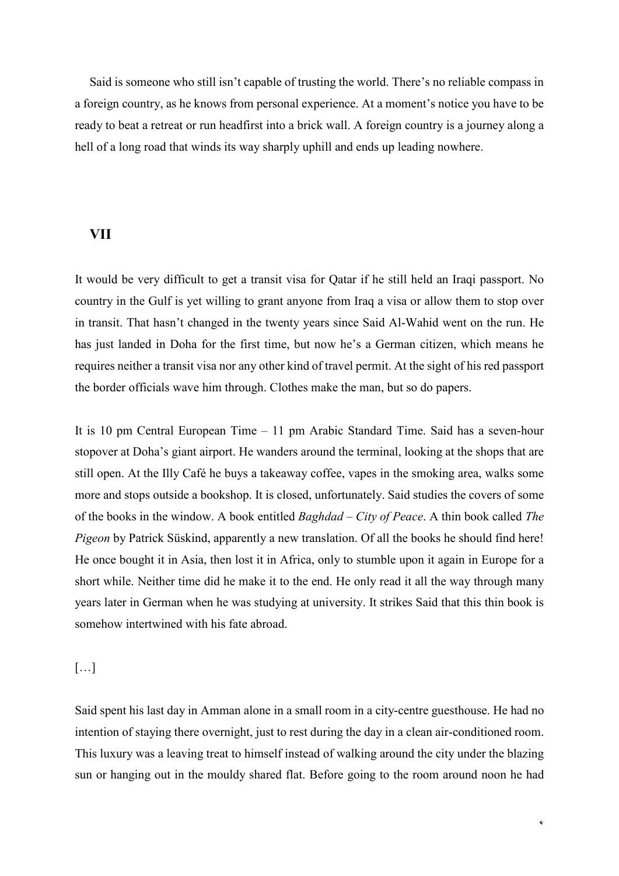Said is someone who still isn't capable of trusting the world. There's no reliable compass in a foreign country, as he knows from personal experience. At a moment's notice you have to be ready to beat a retreat or run headfirst into a brick wall. A foreign country is a journey along a hell of a long road that winds its way sharply uphill and ends up leading nowhere.

#### **VII**

It would be very difficult to get a transit visa for Qatar if he still held an Iraqi passport. No country in the Gulf is yet willing to grant anyone from Iraq a visa or allow them to stop over in transit. That hasn't changed in the twenty years since Said Al-Wahid went on the run. He has just landed in Doha for the first time, but now he's a German citizen, which means he requires neither a transit visa nor any other kind of travel permit. At the sight of his red passport the border officials wave him through. Clothes make the man, but so do papers.

It is 10 pm Central European Time – 11 pm Arabic Standard Time. Said has a seven-hour stopover at Doha's giant airport. He wanders around the terminal, looking at the shops that are still open. At the Illy Café he buys a takeaway coffee, vapes in the smoking area, walks some more and stops outside a bookshop. It is closed, unfortunately. Said studies the covers of some of the books in the window. A book entitled *Baghdad – City of Peace*. A thin book called *The Pigeon* by Patrick Süskind, apparently a new translation. Of all the books he should find here! He once bought it in Asia, then lost it in Africa, only to stumble upon it again in Europe for a short while. Neither time did he make it to the end. He only read it all the way through many years later in German when he was studying at university. It strikes Said that this thin book is somehow intertwined with his fate abroad.

[…]

Said spent his last day in Amman alone in a small room in a city-centre guesthouse. He had no intention of staying there overnight, just to rest during the day in a clean air-conditioned room. This luxury was a leaving treat to himself instead of walking around the city under the blazing sun or hanging out in the mouldy shared flat. Before going to the room around noon he had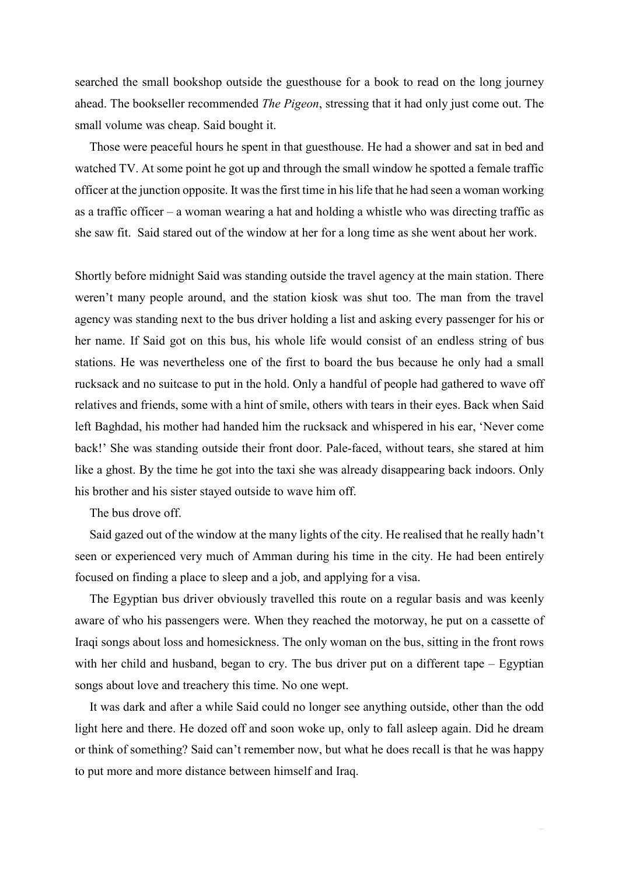searched the small bookshop outside the guesthouse for a book to read on the long journey ahead. The bookseller recommended *The Pigeon*, stressing that it had only just come out. The small volume was cheap. Said bought it.

Those were peaceful hours he spent in that guesthouse. He had a shower and sat in bed and watched TV. At some point he got up and through the small window he spotted a female traffic officer at the junction opposite. It was the first time in his life that he had seen a woman working as a traffic officer – a woman wearing a hat and holding a whistle who was directing traffic as she saw fit. Said stared out of the window at her for a long time as she went about her work.

Shortly before midnight Said was standing outside the travel agency at the main station. There weren't many people around, and the station kiosk was shut too. The man from the travel agency was standing next to the bus driver holding a list and asking every passenger for his or her name. If Said got on this bus, his whole life would consist of an endless string of bus stations. He was nevertheless one of the first to board the bus because he only had a small rucksack and no suitcase to put in the hold. Only a handful of people had gathered to wave off relatives and friends, some with a hint of smile, others with tears in their eyes. Back when Said left Baghdad, his mother had handed him the rucksack and whispered in his ear, 'Never come back!' She was standing outside their front door. Pale-faced, without tears, she stared at him like a ghost. By the time he got into the taxi she was already disappearing back indoors. Only his brother and his sister stayed outside to wave him off.

The bus drove off.

Said gazed out of the window at the many lights of the city. He realised that he really hadn't seen or experienced very much of Amman during his time in the city. He had been entirely focused on finding a place to sleep and a job, and applying for a visa.

The Egyptian bus driver obviously travelled this route on a regular basis and was keenly aware of who his passengers were. When they reached the motorway, he put on a cassette of Iraqi songs about loss and homesickness. The only woman on the bus, sitting in the front rows with her child and husband, began to cry. The bus driver put on a different tape - Egyptian songs about love and treachery this time. No one wept.

It was dark and after a while Said could no longer see anything outside, other than the odd light here and there. He dozed off and soon woke up, only to fall asleep again. Did he dream or think of something? Said can't remember now, but what he does recall is that he was happy to put more and more distance between himself and Iraq.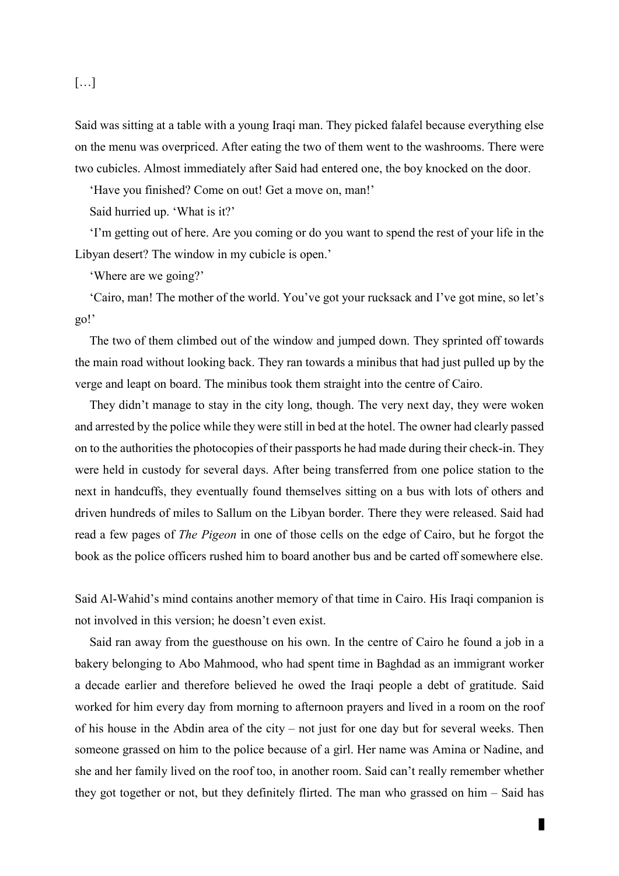### […]

Said was sitting at a table with a young Iraqi man. They picked falafel because everything else on the menu was overpriced. After eating the two of them went to the washrooms. There were two cubicles. Almost immediately after Said had entered one, the boy knocked on the door.

'Have you finished? Come on out! Get a move on, man!'

Said hurried up. 'What is it?'

'I'm getting out of here. Are you coming or do you want to spend the rest of your life in the Libyan desert? The window in my cubicle is open.'

'Where are we going?'

'Cairo, man! The mother of the world. You've got your rucksack and I've got mine, so let's go!'

The two of them climbed out of the window and jumped down. They sprinted off towards the main road without looking back. They ran towards a minibus that had just pulled up by the verge and leapt on board. The minibus took them straight into the centre of Cairo.

They didn't manage to stay in the city long, though. The very next day, they were woken and arrested by the police while they were still in bed at the hotel. The owner had clearly passed on to the authorities the photocopies of their passports he had made during their check-in. They were held in custody for several days. After being transferred from one police station to the next in handcuffs, they eventually found themselves sitting on a bus with lots of others and driven hundreds of miles to Sallum on the Libyan border. There they were released. Said had read a few pages of *The Pigeon* in one of those cells on the edge of Cairo, but he forgot the book as the police officers rushed him to board another bus and be carted off somewhere else.

Said Al-Wahid's mind contains another memory of that time in Cairo. His Iraqi companion is not involved in this version; he doesn't even exist.

Said ran away from the guesthouse on his own. In the centre of Cairo he found a job in a bakery belonging to Abo Mahmood, who had spent time in Baghdad as an immigrant worker a decade earlier and therefore believed he owed the Iraqi people a debt of gratitude. Said worked for him every day from morning to afternoon prayers and lived in a room on the roof of his house in the Abdin area of the city – not just for one day but for several weeks. Then someone grassed on him to the police because of a girl. Her name was Amina or Nadine, and she and her family lived on the roof too, in another room. Said can't really remember whether they got together or not, but they definitely flirted. The man who grassed on him – Said has

4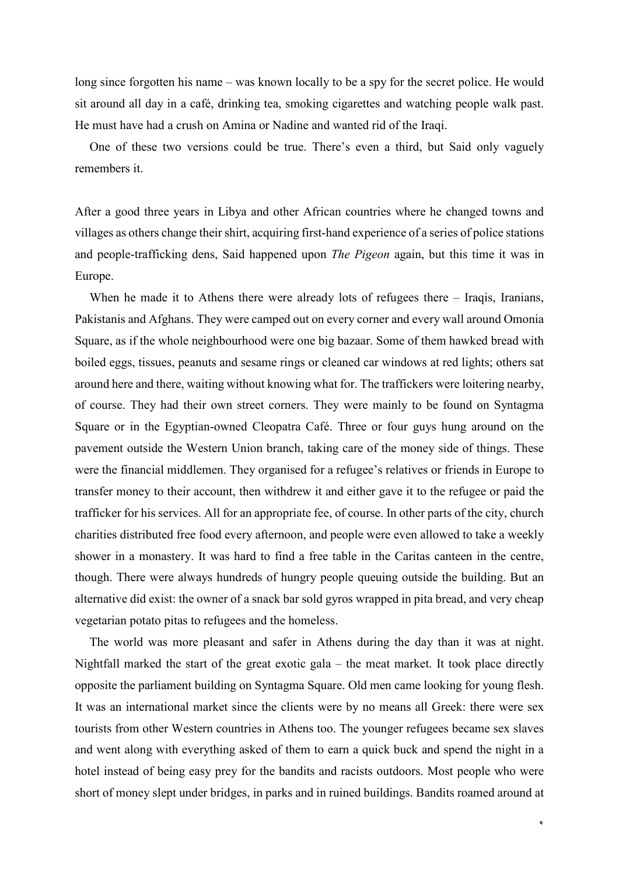long since forgotten his name – was known locally to be a spy for the secret police. He would sit around all day in a café, drinking tea, smoking cigarettes and watching people walk past. He must have had a crush on Amina or Nadine and wanted rid of the Iraqi.

One of these two versions could be true. There's even a third, but Said only vaguely remembers it.

After a good three years in Libya and other African countries where he changed towns and villages as others change their shirt, acquiring first-hand experience of a series of police stations and people-trafficking dens, Said happened upon *The Pigeon* again, but this time it was in Europe.

When he made it to Athens there were already lots of refugees there – Iraqis, Iranians, Pakistanis and Afghans. They were camped out on every corner and every wall around Omonia Square, as if the whole neighbourhood were one big bazaar. Some of them hawked bread with boiled eggs, tissues, peanuts and sesame rings or cleaned car windows at red lights; others sat around here and there, waiting without knowing what for. The traffickers were loitering nearby, of course. They had their own street corners. They were mainly to be found on Syntagma Square or in the Egyptian-owned Cleopatra Café. Three or four guys hung around on the pavement outside the Western Union branch, taking care of the money side of things. These were the financial middlemen. They organised for a refugee's relatives or friends in Europe to transfer money to their account, then withdrew it and either gave it to the refugee or paid the trafficker for his services. All for an appropriate fee, of course. In other parts of the city, church charities distributed free food every afternoon, and people were even allowed to take a weekly shower in a monastery. It was hard to find a free table in the Caritas canteen in the centre, though. There were always hundreds of hungry people queuing outside the building. But an alternative did exist: the owner of a snack bar sold gyros wrapped in pita bread, and very cheap vegetarian potato pitas to refugees and the homeless.

The world was more pleasant and safer in Athens during the day than it was at night. Nightfall marked the start of the great exotic gala – the meat market. It took place directly opposite the parliament building on Syntagma Square. Old men came looking for young flesh. It was an international market since the clients were by no means all Greek: there were sex tourists from other Western countries in Athens too. The younger refugees became sex slaves and went along with everything asked of them to earn a quick buck and spend the night in a hotel instead of being easy prey for the bandits and racists outdoors. Most people who were short of money slept under bridges, in parks and in ruined buildings. Bandits roamed around at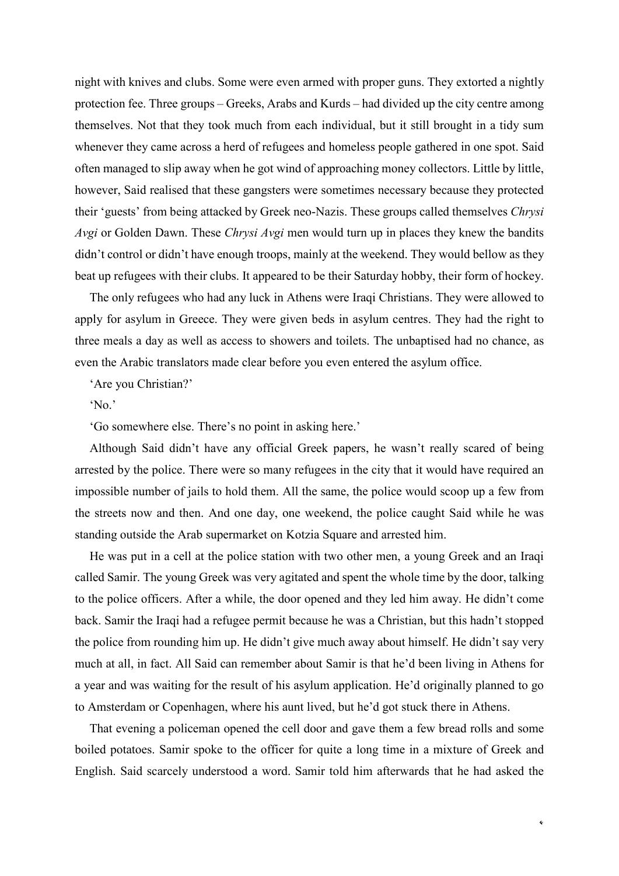night with knives and clubs. Some were even armed with proper guns. They extorted a nightly protection fee. Three groups – Greeks, Arabs and Kurds – had divided up the city centre among themselves. Not that they took much from each individual, but it still brought in a tidy sum whenever they came across a herd of refugees and homeless people gathered in one spot. Said often managed to slip away when he got wind of approaching money collectors. Little by little, however, Said realised that these gangsters were sometimes necessary because they protected their 'guests' from being attacked by Greek neo-Nazis. These groups called themselves *Chrysi Avgi* or Golden Dawn. These *Chrysi Avgi* men would turn up in places they knew the bandits didn't control or didn't have enough troops, mainly at the weekend. They would bellow as they beat up refugees with their clubs. It appeared to be their Saturday hobby, their form of hockey.

The only refugees who had any luck in Athens were Iraqi Christians. They were allowed to apply for asylum in Greece. They were given beds in asylum centres. They had the right to three meals a day as well as access to showers and toilets. The unbaptised had no chance, as even the Arabic translators made clear before you even entered the asylum office.

'Are you Christian?'

'No.'

'Go somewhere else. There's no point in asking here.'

Although Said didn't have any official Greek papers, he wasn't really scared of being arrested by the police. There were so many refugees in the city that it would have required an impossible number of jails to hold them. All the same, the police would scoop up a few from the streets now and then. And one day, one weekend, the police caught Said while he was standing outside the Arab supermarket on Kotzia Square and arrested him.

He was put in a cell at the police station with two other men, a young Greek and an Iraqi called Samir. The young Greek was very agitated and spent the whole time by the door, talking to the police officers. After a while, the door opened and they led him away. He didn't come back. Samir the Iraqi had a refugee permit because he was a Christian, but this hadn't stopped the police from rounding him up. He didn't give much away about himself. He didn't say very much at all, in fact. All Said can remember about Samir is that he'd been living in Athens for a year and was waiting for the result of his asylum application. He'd originally planned to go to Amsterdam or Copenhagen, where his aunt lived, but he'd got stuck there in Athens.

That evening a policeman opened the cell door and gave them a few bread rolls and some boiled potatoes. Samir spoke to the officer for quite a long time in a mixture of Greek and English. Said scarcely understood a word. Samir told him afterwards that he had asked the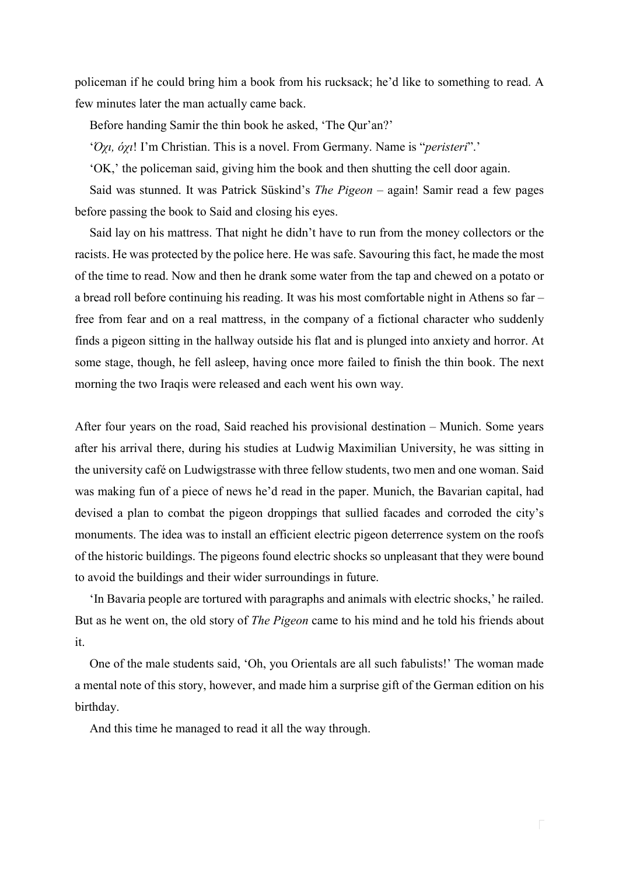policeman if he could bring him a book from his rucksack; he'd like to something to read. A few minutes later the man actually came back.

Before handing Samir the thin book he asked, 'The Qur'an?'

'*Όχι, όχι*! I'm Christian. This is a novel. From Germany. Name is "*peristeri*".'

'OK,' the policeman said, giving him the book and then shutting the cell door again.

Said was stunned. It was Patrick Süskind's *The Pigeon* – again! Samir read a few pages before passing the book to Said and closing his eyes.

Said lay on his mattress. That night he didn't have to run from the money collectors or the racists. He was protected by the police here. He was safe. Savouring this fact, he made the most of the time to read. Now and then he drank some water from the tap and chewed on a potato or a bread roll before continuing his reading. It was his most comfortable night in Athens so far – free from fear and on a real mattress, in the company of a fictional character who suddenly finds a pigeon sitting in the hallway outside his flat and is plunged into anxiety and horror. At some stage, though, he fell asleep, having once more failed to finish the thin book. The next morning the two Iraqis were released and each went his own way.

After four years on the road, Said reached his provisional destination – Munich. Some years after his arrival there, during his studies at Ludwig Maximilian University, he was sitting in the university café on Ludwigstrasse with three fellow students, two men and one woman. Said was making fun of a piece of news he'd read in the paper. Munich, the Bavarian capital, had devised a plan to combat the pigeon droppings that sullied facades and corroded the city's monuments. The idea was to install an efficient electric pigeon deterrence system on the roofs of the historic buildings. The pigeons found electric shocks so unpleasant that they were bound to avoid the buildings and their wider surroundings in future.

'In Bavaria people are tortured with paragraphs and animals with electric shocks,' he railed. But as he went on, the old story of *The Pigeon* came to his mind and he told his friends about it.

One of the male students said, 'Oh, you Orientals are all such fabulists!' The woman made a mental note of this story, however, and made him a surprise gift of the German edition on his birthday.

And this time he managed to read it all the way through.